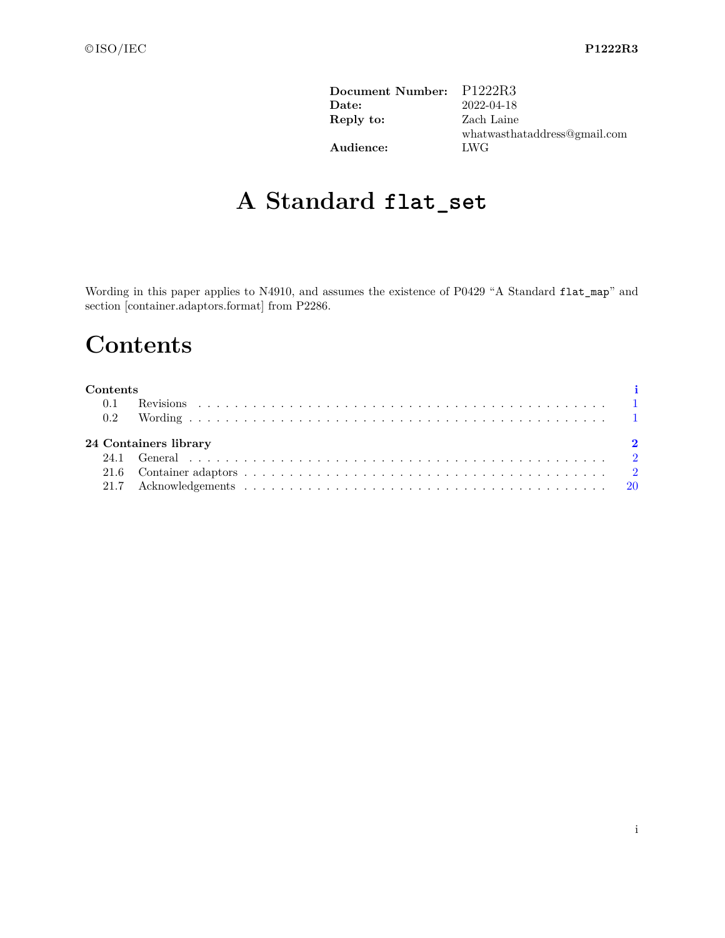| Document Number: P1222R3 |                              |
|--------------------------|------------------------------|
| Date:                    | 2022-04-18                   |
| Reply to:                | Zach Laine                   |
|                          | whatwasthataddress@gmail.com |
| Audience:                | LWG                          |
|                          |                              |

# **A Standard flat\_set**

Wording in this paper applies to N4910, and assumes the existence of P0429 "A Standard flat\_map" and section [container.adaptors.format] from P2286.

# <span id="page-0-0"></span>**Contents**

#### **Contents [i](#page-0-0)**

| 24 Containers library |  |  |  |  |
|-----------------------|--|--|--|--|
|                       |  |  |  |  |
|                       |  |  |  |  |
|                       |  |  |  |  |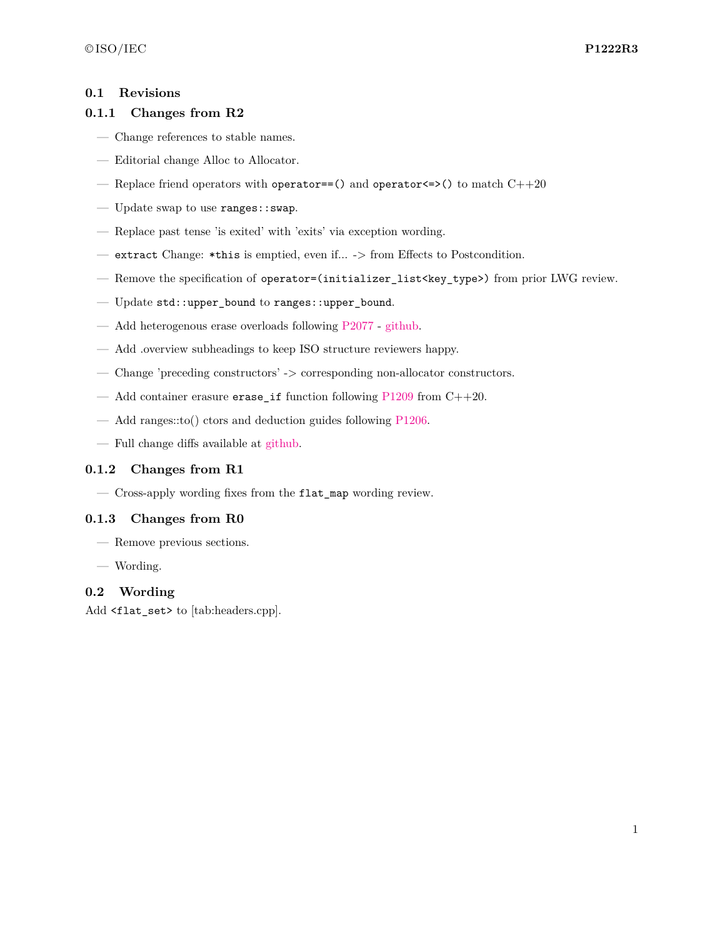### <span id="page-1-0"></span>**0.1 Revisions**

### **0.1.1 Changes from R2**

- Change references to stable names.
- Editorial change Alloc to Allocator.
- Replace friend operators with operator==() and operator  $\le$  >() to match C++20
- Update swap to use ranges::swap.
- Replace past tense 'is exited' with 'exits' via exception wording.
- extract Change: \*this is emptied, even if... -> from Effects to Postcondition.
- Remove the specification of operator=(initializer\_list<key\_type>) from prior LWG review.
- Update std::upper\_bound to ranges::upper\_bound.
- Add heterogenous erase overloads following [P2077](https://wg21.link/P2077) [github.](https://github.com/tzlaine/flat_map/commit/a241df6b978479f0cc135ec567dbea4cd7407dd6)
- Add .overview subheadings to keep ISO structure reviewers happy.
- Change 'preceding constructors' -> corresponding non-allocator constructors.
- Add container erasure erase\_if function following  $P1209$  from  $C++20$ .
- Add ranges::to() ctors and deduction guides following [P1206.](https://wg21.link/P1206)
- Full change diffs available at [github.](https://github.com/tzlaine/flat_map/commits/flat_set)

### **0.1.2 Changes from R1**

— Cross-apply wording fixes from the flat\_map wording review.

### **0.1.3 Changes from R0**

- Remove previous sections.
- Wording.

## <span id="page-1-1"></span>**0.2 Wording**

Add <flat\_set> to [tab:headers.cpp].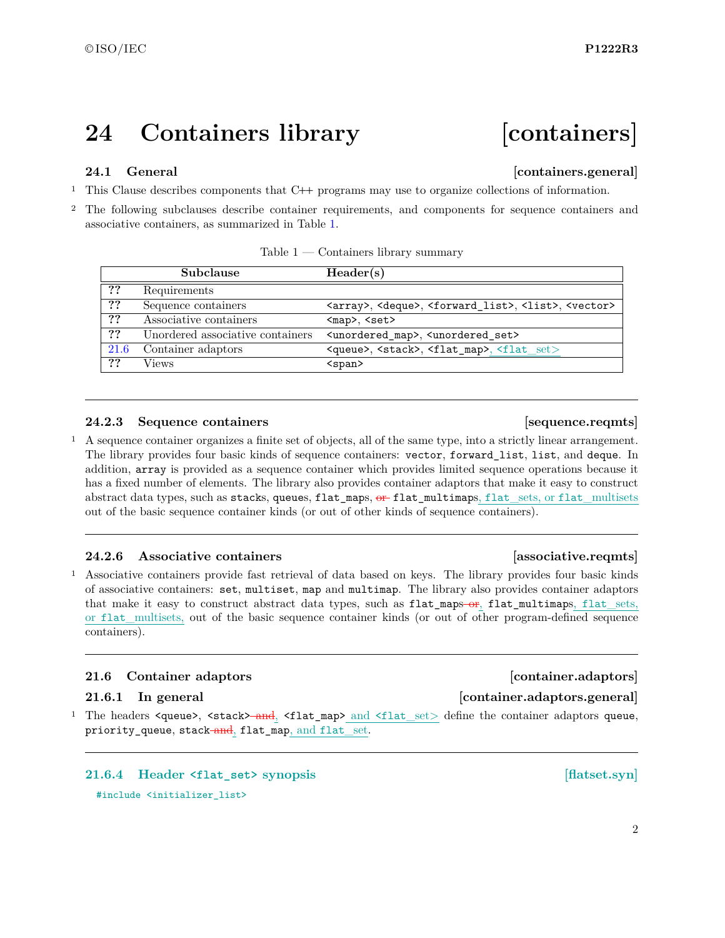# <span id="page-2-0"></span>**24 Containers library [containers]**

# <span id="page-2-1"></span>**24.1 General Containers.general**

<sup>1</sup> This Clause describes components that C**++** programs may use to organize collections of information.

<sup>2</sup> The following subclauses describe container requirements, and components for sequence containers and associative containers, as summarized in Table [1.](#page-2-3)

|      | Subclause                        | Header(s)                                                                                         |
|------|----------------------------------|---------------------------------------------------------------------------------------------------|
| ??   | Requirements                     |                                                                                                   |
| ??   | Sequence containers              | <array>, <deque>, <forward_list>, <list>, <vector></vector></list></forward_list></deque></array> |
| ??   | Associative containers           | $map$ , $set$                                                                                     |
| ??   | Unordered associative containers | <unordered map="">, <unordered set=""></unordered></unordered>                                    |
| 21.6 | Container adaptors               | <queue>, <stack>, <flat_map>, <flat_set></flat_set></flat_map></stack></queue>                    |
| ??   | Views                            | $<$ span $>$                                                                                      |

<span id="page-2-3"></span>

| Table 1 | Containers library summary |  |
|---------|----------------------------|--|
|         |                            |  |

### **24.2.3 Sequence containers and intervals [36] [36] [36] [36] [36] [36] [36] [36] [36] [36] [36] [36] [36] [36] [36] [36] [36] [36] [36] [36] [36] [36] [36] [36] [36] [**

<sup>1</sup> A sequence container organizes a finite set of objects, all of the same type, into a strictly linear arrangement. The library provides four basic kinds of sequence containers: vector, forward\_list, list, and deque. In addition, array is provided as a sequence container which provides limited sequence operations because it has a fixed number of elements. The library also provides container adaptors that make it easy to construct abstract data types, such as stacks, queues, flat maps,  $\theta$  flat multimaps, flat sets, or flat multisets out of the basic sequence container kinds (or out of other kinds of sequence containers).

### **24.2.6 Associative containers [associative.reqmts]**

<sup>1</sup> Associative containers provide fast retrieval of data based on keys. The library provides four basic kinds of associative containers: set, multiset, map and multimap. The library also provides container adaptors that make it easy to construct abstract data types, such as flat\_maps-or, flat\_multimaps, flat\_sets, or flat\_multisets, out of the basic sequence container kinds (or out of other program-defined sequence containers).

### <span id="page-2-2"></span>**21.6 Container adaptors [container.adaptors]**

#### **21.6.1 In general [container.adaptors.general]**

<sup>1</sup> The headers <queue>, <stack><del>-and</del>, <flat\_map> and <flat\_set> define the container adaptors queue, priority\_queue, stack-and, flat\_map, and flat\_set.

**21.6.4 Header <flat\_set> synopsis [flatset.syn]** #include <initializer\_list>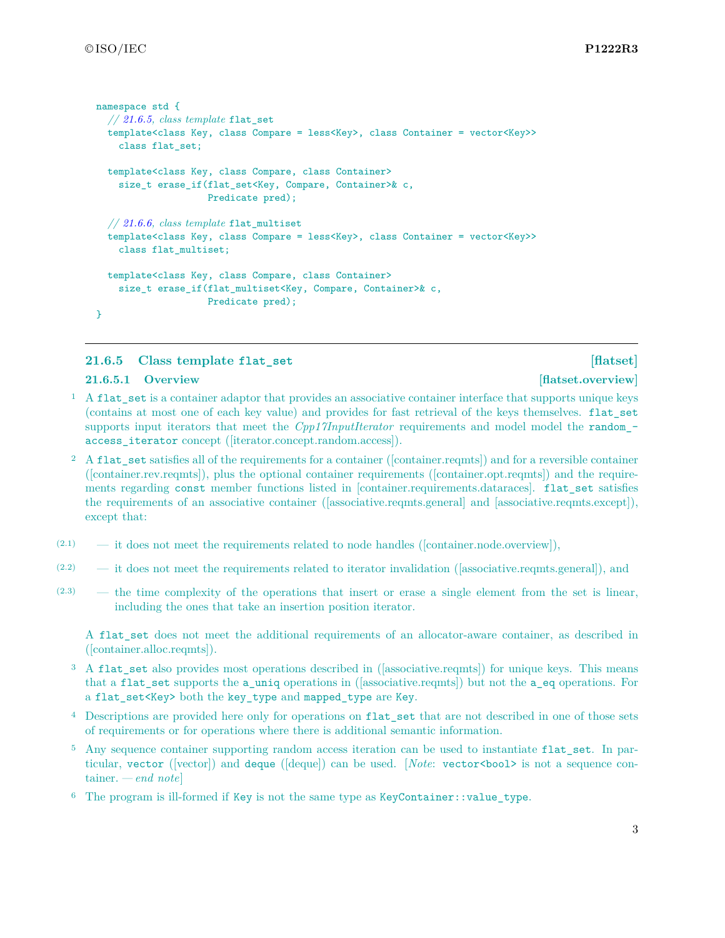```
namespace std {
  // 21.6.5, class template flat_set
  template<class Key, class Compare = less<Key>, class Container = vector<Key>>
    class flat_set;
  template<class Key, class Compare, class Container>
    size_t erase_if(flat_set<Key, Compare, Container>& c,
                    Predicate pred);
  // 21.6.6, class template flat_multiset
  template<class Key, class Compare = less<Key>, class Container = vector<Key>>
    class flat_multiset;
  template<class Key, class Compare, class Container>
    size_t erase_if(flat_multiset<Key, Compare, Container>& c,
                    Predicate pred);
}
```
## <span id="page-3-0"></span>**21.6.5 Class template flat\_set [flatset]**

#### **21.6.5.1 Overview [flatset.overview]**

- <sup>1</sup> A flat\_set is a container adaptor that provides an associative container interface that supports unique keys (contains at most one of each key value) and provides for fast retrieval of the keys themselves. flat\_set supports input iterators that meet the *Cpp17InputIterator* requirements and model model the randomaccess iterator concept ([iterator.concept.random.access]).
- <sup>2</sup> A flat\_set satisfies all of the requirements for a container ([container.reqmts]) and for a reversible container ([container.rev.reqmts]), plus the optional container requirements ([container.opt.reqmts]) and the requirements regarding const member functions listed in [container.requirements.dataraces]. flat\_set satisfies the requirements of an associative container ([associative.reqmts.general] and [associative.reqmts.except]), except that:
- $(2.1)$  it does not meet the requirements related to node handles ([container.node.overview]),
- (2.2) it does not meet the requirements related to iterator invalidation ([associative.reqmts.general]), and
- (2.3) the time complexity of the operations that insert or erase a single element from the set is linear, including the ones that take an insertion position iterator.

A flat set does not meet the additional requirements of an allocator-aware container, as described in ([container.alloc.reqmts]).

- <sup>3</sup> A flat\_set also provides most operations described in ([associative.reqmts]) for unique keys. This means that a flat\_set supports the a\_uniq operations in ([associative.reqmts]) but not the a\_eq operations. For a flat\_set<Key> both the key\_type and mapped\_type are Key.
- <sup>4</sup> Descriptions are provided here only for operations on flat\_set that are not described in one of those sets of requirements or for operations where there is additional semantic information.
- <sup>5</sup> Any sequence container supporting random access iteration can be used to instantiate flat\_set. In particular, vector ([vector]) and deque ([deque]) can be used. [*Note*: vector<bool> is not a sequence container. *— end note*]
- <sup>6</sup> The program is ill-formed if Key is not the same type as KeyContainer::value\_type.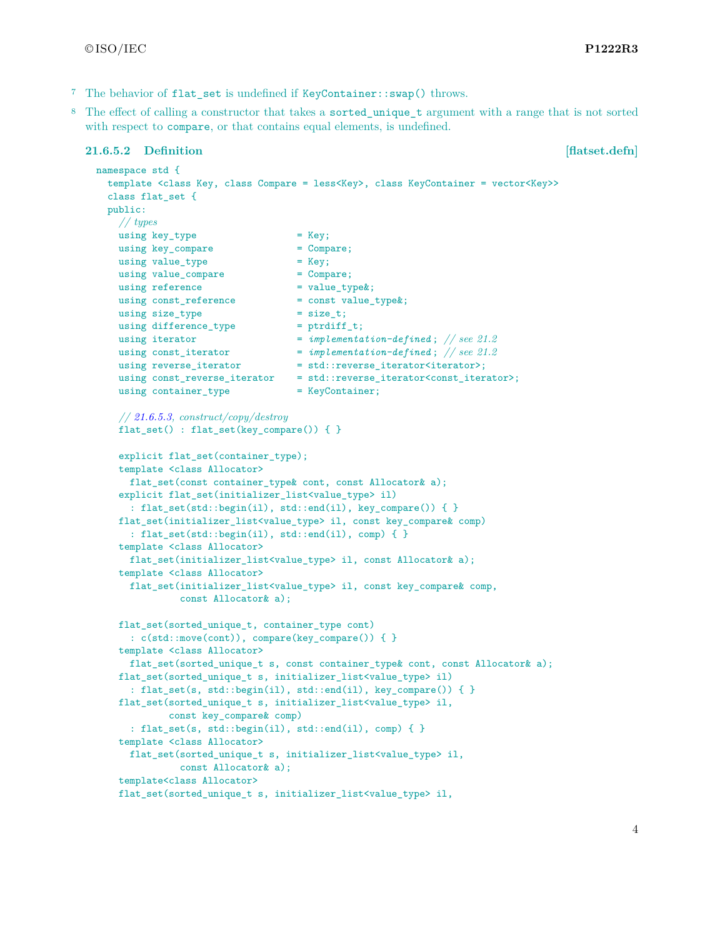- <sup>7</sup> The behavior of flat\_set is undefined if KeyContainer::swap() throws.
- <sup>8</sup> The effect of calling a constructor that takes a sorted unique t argument with a range that is not sorted with respect to compare, or that contains equal elements, is undefined.

#### **21.6.5.2 Definition [flatset.defn]**

```
namespace std {
 template <class Key, class Compare = less<Key>, class KeyContainer = vector<Key>>
 class flat_set {
 public:
   // types
   using key_type = Key;<br>using key compare = Compare;
   using key\_compareusing value_type = Key;
   using value_compare = Compare;
   using reference = value_type\;
   using const_reference = const value_type&;
   using size_type = size_t;using difference_type = ptrdiff_t;
   using iterator = implementation-defined; // see 21.2
    using const_iterator = implementation-defined ; // see 21.2
    using reverse_iterator = std::reverse\_iterator\times;using const_reverse_iterator = std::reverse_iterator<const_iterator>;
   using container_type = KeyContainer;
   // 21.6.5.3, construct/copy/destroy
   flat_set() : flat_set(key_compare()) { }
   explicit flat_set(container_type);
   template <class Allocator>
     flat_set(const container_type& cont, const Allocator& a);
   explicit flat_set(initializer_list<value_type> il)
     : flat_set(std::begin(il), std::end(il), key_compare()) { }
   flat_set(initializer_list<value_type> il, const key_compare& comp)
     : flat_set(std::begin(il), std::end(il), comp) { }
   template <class Allocator>
     flat_set(initializer_list<value_type> il, const Allocator& a);
   template <class Allocator>
     flat_set(initializer_list<value_type> il, const key_compare& comp,
              const Allocator& a);
   flat_set(sorted_unique_t, container_type cont)
     : c(std::move(cont)), compare(key_compare()) { }
   template <class Allocator>
     flat_set(sorted_unique_t s, const container_type& cont, const Allocator& a);
   flat_set(sorted_unique_t s, initializer_list<value_type> il)
     : flat_set(s, std::begin(il), std::end(il), key_compare()) { }
   flat_set(sorted_unique_t s, initializer_list<value_type> il,
            const key_compare& comp)
     : flat_set(s, std::begin(il), std::end(il), comp) { }
   template <class Allocator>
     flat_set(sorted_unique_t s, initializer_list<value_type> il,
              const Allocator& a);
   template<class Allocator>
   flat_set(sorted_unique_t s, initializer_list<value_type> il,
```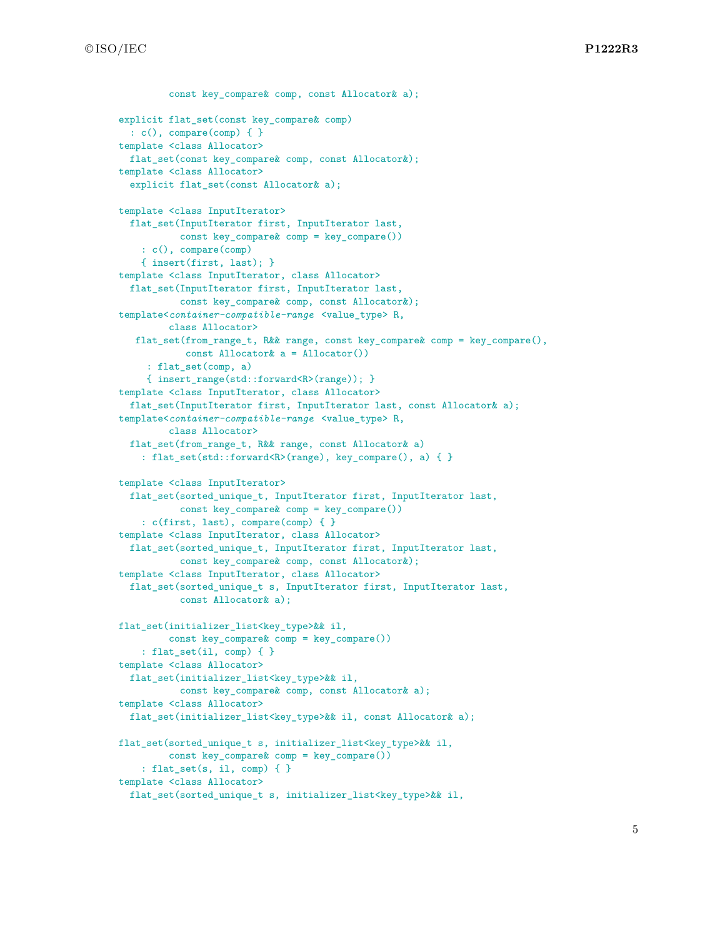```
const key compare& comp, const Allocator& a);
explicit flat_set(const key_compare& comp)
 : c(), compare(comp) { }
template <class Allocator>
 flat set(const key compare& comp, const Allocator&);
template <class Allocator>
  explicit flat_set(const Allocator& a);
template <class InputIterator>
 flat_set(InputIterator first, InputIterator last,
           const key_compare& comp = key_compare())
    : c(), compare(comp)
    { insert(first, last); }
template <class InputIterator, class Allocator>
 flat_set(InputIterator first, InputIterator last,
          const key_compare& comp, const Allocator&);
template<container-compatible-range <value_type> R,
         class Allocator>
   flat set(from range t, R&& range, const key_compare& comp = key_compare(),
           const Allocator& a = Allocator())
     : flat_set(comp, a)
     { insert_range(std::forward<R>(range)); }
template <class InputIterator, class Allocator>
  flat_set(InputIterator first, InputIterator last, const Allocator& a);
template<container-compatible-range <value_type> R,
         class Allocator>
  flat_set(from_range_t, R&& range, const Allocator& a)
    : flat_set(std::forward<R>(range), key_compare(), a) { }
template <class InputIterator>
  flat_set(sorted_unique_t, InputIterator first, InputIterator last,
           const key_compare& comp = key_compare())
    : c(first, last), compare(comp) { }
template <class InputIterator, class Allocator>
  flat_set(sorted_unique_t, InputIterator first, InputIterator last,
           const key_compare& comp, const Allocator&);
template <class InputIterator, class Allocator>
  flat_set(sorted_unique_t s, InputIterator first, InputIterator last,
          const Allocator& a);
flat_set(initializer_list<key_type>&& il,
         const key_compare& comp = key_compare())
    : flat_set(il, comp) { }
template <class Allocator>
  flat_set(initializer_list<key_type>&& il,
           const key_compare& comp, const Allocator& a);
template <class Allocator>
 flat_set(initializer_list<key_type>&& il, const Allocator& a);
flat_set(sorted_unique_t s, initializer_list<key_type>&& il,
         const key_compare& comp = key_compare())
    : flat_set(s, il, comp) { }
template <class Allocator>
  flat set(sorted unique t s, initializer list<key type>&& il,
```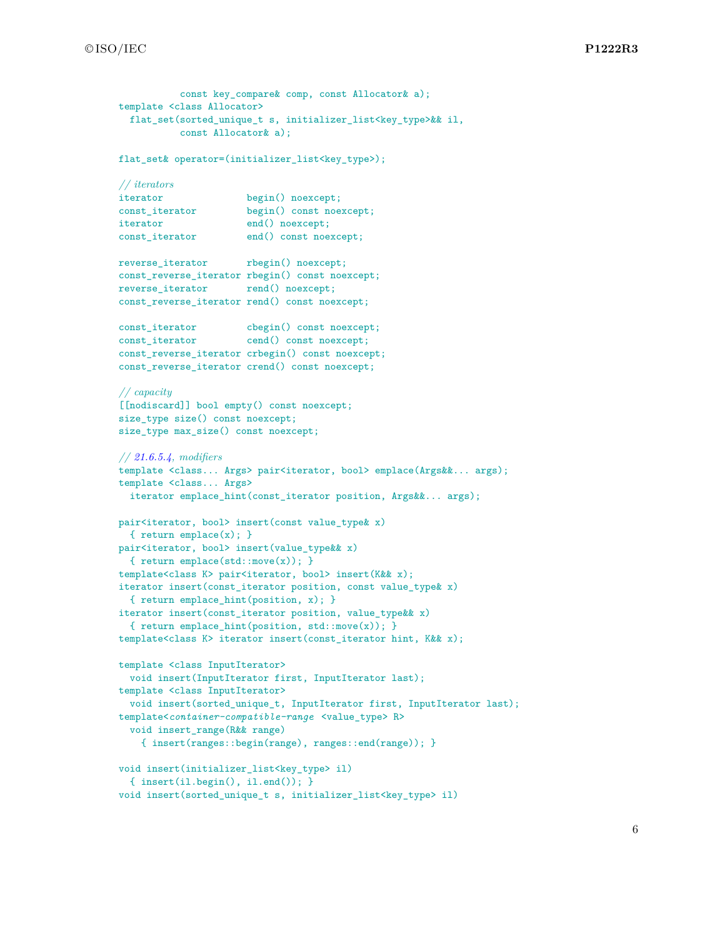```
const key compare& comp, const Allocator& a);
template <class Allocator>
  flat_set(sorted_unique_t s, initializer_list<key_type>&& il,
           const Allocator& a);
flat set& operator=(initializer_list<key_type>);
// iterators
iterator begin() noexcept;
const_iterator begin() const noexcept;
iterator end() noexcept;
const_iterator end() const noexcept;
reverse_iterator rbegin() noexcept;
const_reverse_iterator rbegin() const noexcept;
reverse_iterator rend() noexcept;
const_reverse_iterator rend() const noexcept;
const_iterator cbegin() const noexcept;
const_iterator cend() const noexcept;
const_reverse_iterator crbegin() const noexcept;
const_reverse_iterator crend() const noexcept;
// capacity
[[nodiscard]] bool empty() const noexcept;
size_type size() const noexcept;
size_type max_size() const noexcept;
// 21.6.5.4, modifiers
template <class... Args> pair<iterator, bool> emplace(Args&&... args);
template <class... Args>
 iterator emplace_hint(const_iterator position, Args&&... args);
pair<iterator, bool> insert(const value_type& x)
  { return emplace(x); }
pair<iterator, bool> insert(value_type&& x)
  { return emplace(std::move(x)); }
template<class K> pair<iterator, bool> insert(K&& x);
iterator insert(const_iterator position, const value_type& x)
  { return emplace_hint(position, x); }
iterator insert(const_iterator position, value_type&& x)
  { return emplace_hint(position, std::move(x)); }
template<class K> iterator insert(const_iterator hint, K&& x);
template <class InputIterator>
 void insert(InputIterator first, InputIterator last);
template <class InputIterator>
 void insert(sorted_unique_t, InputIterator first, InputIterator last);
template<container-compatible-range <value_type> R>
  void insert_range(R&& range)
    { insert(ranges::begin(range), ranges::end(range)); }
void insert(initializer_list<key_type> il)
  { insert(il.begin(), il.end()); }
void insert(sorted_unique_t s, initializer_list<key_type> il)
```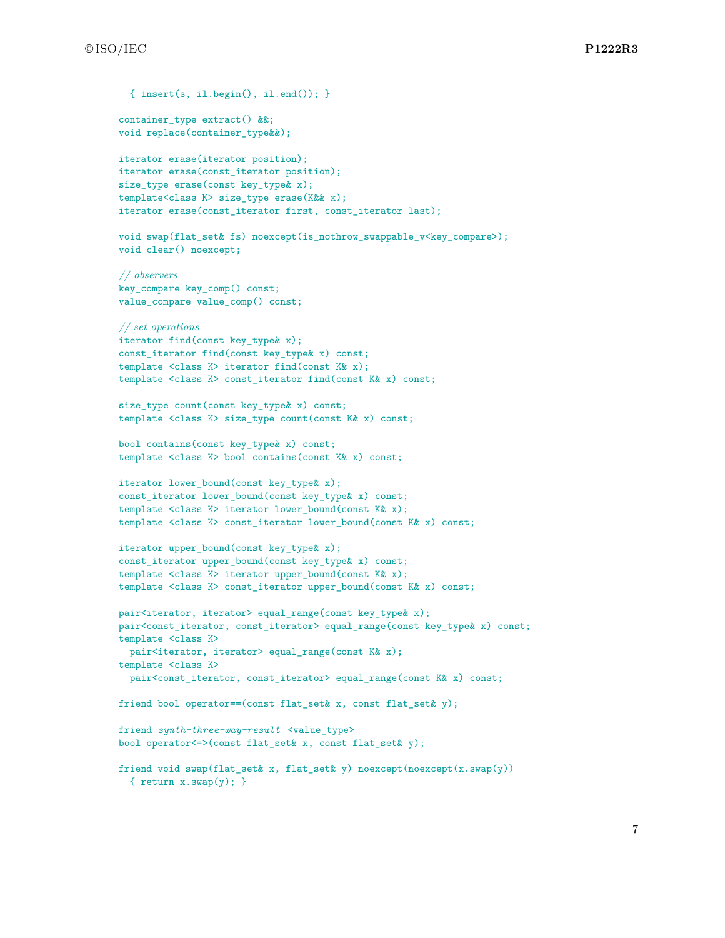```
{ insert(s, il.begin(), il.end()); }
container_type extract() &&;
void replace(container_type&&);
iterator erase(iterator position);
iterator erase(const_iterator position);
size_type erase(const key_type& x);
template<class K> size_type erase(K&& x);
iterator erase(const_iterator first, const_iterator last);
void swap(flat_set& fs) noexcept(is_nothrow_swappable_v<key_compare>);
void clear() noexcept;
// observers
key_compare key_comp() const;
value_compare value_comp() const;
// set operations
iterator find(const key_type& x);
const_iterator find(const key_type& x) const;
template <class K> iterator find(const K& x);
template <class K> const_iterator find(const K& x) const;
size_type count(const key_type& x) const;
template <class K> size_type count(const K& x) const;
bool contains(const key_type& x) const;
template <class K> bool contains(const K& x) const;
iterator lower_bound(const key_type& x);
const_iterator lower_bound(const key_type& x) const;
template <class K> iterator lower_bound(const K& x);
template <class K> const_iterator lower_bound(const K& x) const;
iterator upper_bound(const key_type& x);
const_iterator upper_bound(const key_type& x) const;
template <class K> iterator upper_bound(const K& x);
template <class K> const_iterator upper_bound(const K& x) const;
pair<iterator, iterator> equal_range(const key_type& x);
pair<const_iterator, const_iterator> equal_range(const key_type& x) const;
template <class K>
 pair<iterator, iterator> equal_range(const K& x);
template <class K>
 pair<const_iterator, const_iterator> equal_range(const K& x) const;
friend bool operator==(const flat_set& x, const flat_set& y);
friend synth-three-way-result <value_type>
bool operator<=>(const flat_set& x, const flat_set& y);
friend void swap(flat_set& x, flat_set& y) noexcept(noexcept(x.swap(y))
  { return x.swap(y); }
```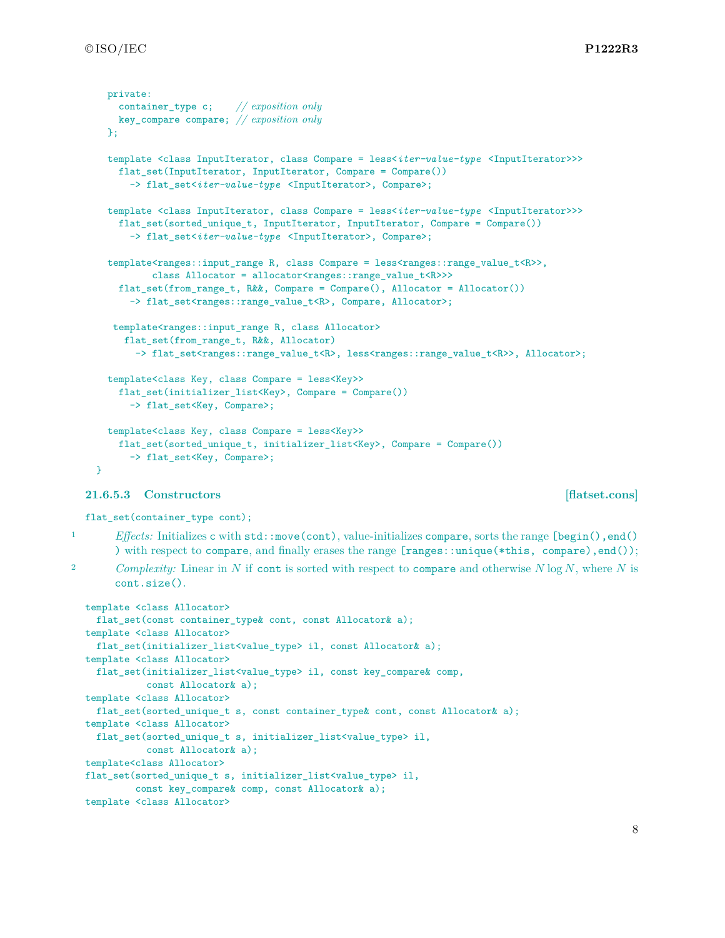```
private:
   container_type c; // exposition only
   key_compare compare; // exposition only
  };
  template <class InputIterator, class Compare = less<iter-value-type <InputIterator>>>
    flat_set(InputIterator, InputIterator, Compare = Compare())
      -> flat_set<iter-value-type <InputIterator>, Compare>;
  template <class InputIterator, class Compare = less<iter-value-type <InputIterator>>>
    flat_set(sorted_unique_t, InputIterator, InputIterator, Compare = Compare())
      -> flat_set<iter-value-type <InputIterator>, Compare>;
  template<ranges::input_range R, class Compare = less<ranges::range_value_t<R>>,
          class Allocator = allocator<ranges::range_value_t<R>>>>
    flat_set(from_range_t, R&&, Compare = Compare(), Allocator = Allocator())
      -> flat_set<ranges::range_value_t<R>, Compare, Allocator>;
   template<ranges::input_range R, class Allocator>
     flat_set(from_range_t, R&&, Allocator)
       -> flat_set<ranges::range_value_t<R>, less<ranges::range_value_t<R>>, Allocator>;
 template<class Key, class Compare = less<Key>>
    flat_set(initializer_list<Key>, Compare = Compare())
      -> flat_set<Key, Compare>;
  template<class Key, class Compare = less<Key>>
    flat_set(sorted_unique_t, initializer_list<Key>, Compare = Compare())
      -> flat_set<Key, Compare>;
}
```
#### <span id="page-8-0"></span>**21.6.5.3 Constructors [flatset.cons]**

flat\_set(container\_type cont);

1 *Effects:* Initializes c with std::move(cont), value-initializes compare, sorts the range [begin(), end() ) with respect to compare, and finally erases the range [ranges::unique(\*this, compare),end());

<sup>2</sup> *Complexity:* Linear in *N* if cont is sorted with respect to compare and otherwise *N* log *N*, where *N* is cont.size().

```
template <class Allocator>
 flat_set(const container_type& cont, const Allocator& a);
template <class Allocator>
 flat_set(initializer_list<value_type> il, const Allocator& a);
template <class Allocator>
 flat_set(initializer_list<value_type> il, const key_compare& comp,
          const Allocator& a);
template <class Allocator>
 flat_set(sorted_unique_t s, const container_type& cont, const Allocator& a);
template <class Allocator>
 flat_set(sorted_unique_t s, initializer_list<value_type> il,
          const Allocator& a);
template<class Allocator>
flat_set(sorted_unique_t s, initializer_list<value_type> il,
        const key_compare& comp, const Allocator& a);
template <class Allocator>
```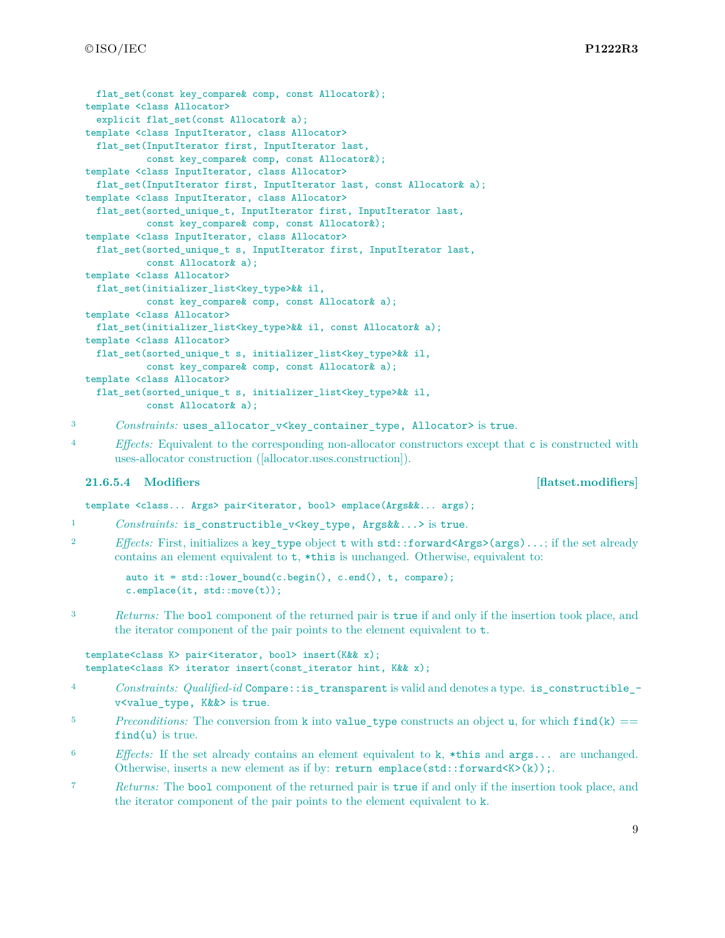```
flat set(const key compare& comp, const Allocator&);
template <class Allocator>
  explicit flat_set(const Allocator& a);
template <class InputIterator, class Allocator>
 flat_set(InputIterator first, InputIterator last,
           const key_compare& comp, const Allocator&);
template <class InputIterator, class Allocator>
 flat_set(InputIterator first, InputIterator last, const Allocator& a);
template <class InputIterator, class Allocator>
 flat_set(sorted_unique_t, InputIterator first, InputIterator last,
           const key_compare& comp, const Allocator&);
template <class InputIterator, class Allocator>
 flat_set(sorted_unique_t s, InputIterator first, InputIterator last,
          const Allocator& a);
template <class Allocator>
 flat_set(initializer_list<key_type>&& il,
          const key_compare& comp, const Allocator& a);
template <class Allocator>
 flat_set(initializer_list<key_type>&& il, const Allocator& a);
template <class Allocator>
 flat_set(sorted_unique_t s, initializer_list<key_type>&& il,
           const key_compare& comp, const Allocator& a);
template <class Allocator>
  flat_set(sorted_unique_t s, initializer_list<key_type>&& il,
           const Allocator& a);
```

```
3 Constraints: uses_allocator_v<key_container_type, Allocator> is true.
```
<sup>4</sup> *Effects:* Equivalent to the corresponding non-allocator constructors except that c is constructed with uses-allocator construction ([allocator.uses.construction]).

### <span id="page-9-0"></span>**21.6.5.4 Modifiers [flatset.modifiers]**

template <class... Args> pair<iterator, bool> emplace(Args&&... args);

- 1 *Constraints:* is\_constructible\_v<key\_type, Args&&...> is true.
- 2 *Effects:* First, initializes a key type object t with std::forward<Args>(args)...; if the set already contains an element equivalent to t, \*this is unchanged. Otherwise, equivalent to:

auto it = std::lower\_bound(c.begin(), c.end(), t, compare); c.emplace(it, std::move(t));

<sup>3</sup> *Returns:* The bool component of the returned pair is true if and only if the insertion took place, and the iterator component of the pair points to the element equivalent to t.

```
template<class K> pair<iterator, bool> insert(K&& x);
template<class K> iterator insert(const_iterator hint, K&& x);
```
- <sup>4</sup> *Constraints: Qualified-id* Compare::is\_transparent is valid and denotes a type. is\_constructible\_ v<value\_type, K&&> is true.
- <sup>5</sup> *Preconditions:* The conversion from k into value\_type constructs an object u, for which  $\text{find}(k) =$ find(u) is true.
- <sup>6</sup> *Effects:* If the set already contains an element equivalent to k, \*this and args... are unchanged. Otherwise, inserts a new element as if by:  $return$   $emplace(std::forward\langle K \rangle(k));$
- <sup>7</sup> *Returns:* The bool component of the returned pair is true if and only if the insertion took place, and the iterator component of the pair points to the element equivalent to k.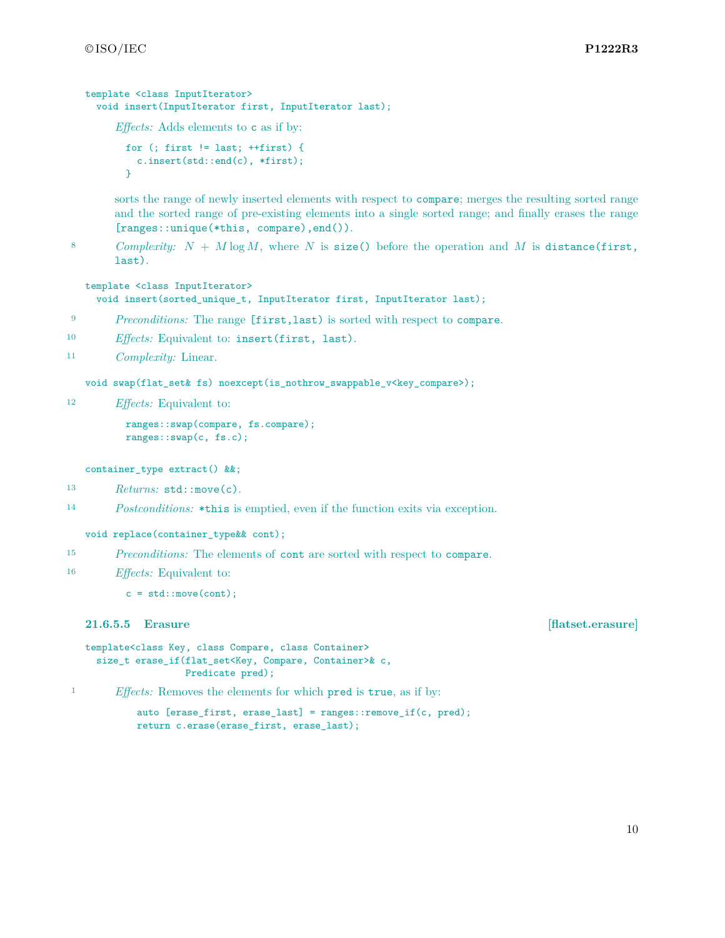```
template <class InputIterator>
 void insert(InputIterator first, InputIterator last);
```
*Effects:* Adds elements to c as if by:

```
for (; first != last; ++first) {
 c.insert(std::end(c), *first);
}
```
sorts the range of newly inserted elements with respect to compare; merges the resulting sorted range and the sorted range of pre-existing elements into a single sorted range; and finally erases the range [ranges::unique(\*this, compare),end()).

8 *Complexity:*  $N + M \log M$ , where  $N$  is size() before the operation and  $M$  is distance(first, last).

```
template <class InputIterator>
  void insert(sorted_unique_t, InputIterator first, InputIterator last);
```
- <sup>9</sup> *Preconditions:* The range [first,last) is sorted with respect to compare.
- <sup>10</sup> *Effects:* Equivalent to: insert(first, last).
- <sup>11</sup> *Complexity:* Linear.

void swap(flat\_set& fs) noexcept(is\_nothrow\_swappable\_v<key\_compare>);

<sup>12</sup> *Effects:* Equivalent to:

```
ranges::swap(compare, fs.compare);
ranges::swap(c, fs.c);
```
container\_type extract() &&;

- 13 *Returns:* std::move(c).
- <sup>14</sup> *Postconditions:* \*this is emptied, even if the function exits via exception.

void replace(container\_type&& cont);

<sup>15</sup> *Preconditions:* The elements of cont are sorted with respect to compare.

```
16 Effects: Equivalent to:
```
 $c = std::move (cont);$ 

**21.6.5.5 Erasure [flatset.erasure]**

```
template<class Key, class Compare, class Container>
 size_t erase_if(flat_set<Key, Compare, Container>& c,
                 Predicate pred);
```
<sup>1</sup> *Effects:* Removes the elements for which pred is true, as if by:

auto [erase\_first, erase\_last] = ranges::remove\_if(c, pred); return c.erase(erase\_first, erase\_last);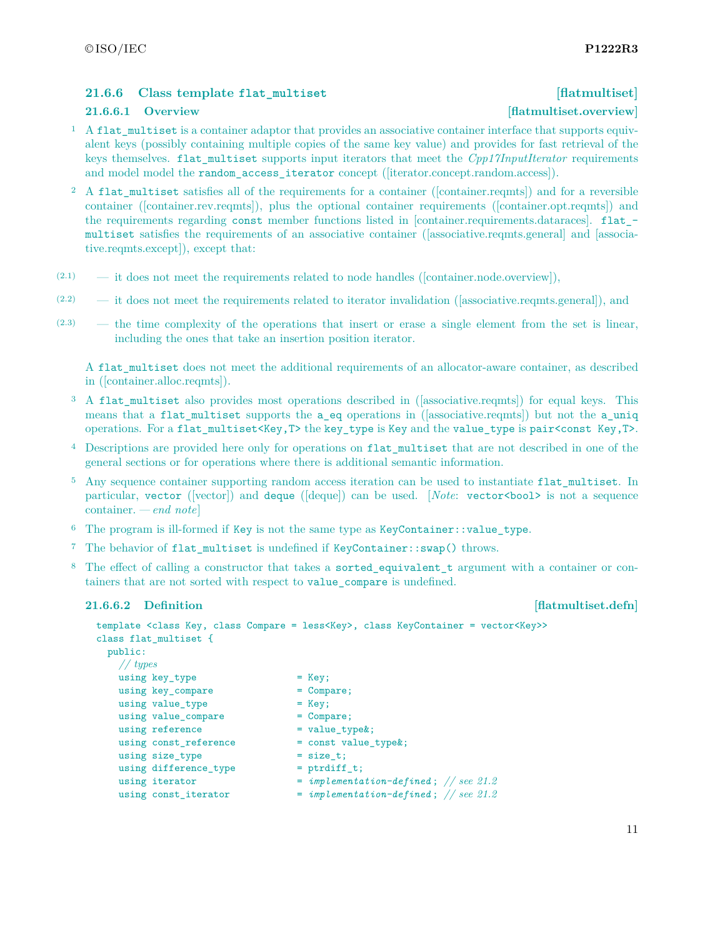## <span id="page-11-0"></span>**21.6.6 Class template flat\_multiset [flatmultiset]**

### **21.6.6.1 Overview [flatmultiset.overview]**

- <sup>1</sup> A flat\_multiset is a container adaptor that provides an associative container interface that supports equivalent keys (possibly containing multiple copies of the same key value) and provides for fast retrieval of the keys themselves. flat\_multiset supports input iterators that meet the *Cpp17InputIterator* requirements and model model the random\_access\_iterator concept ([iterator.concept.random.access]).
- <sup>2</sup> A flat multiset satisfies all of the requirements for a container ([container.reqmts]) and for a reversible container ([container.rev.reqmts]), plus the optional container requirements ([container.opt.reqmts]) and the requirements regarding const member functions listed in [container.requirements.dataraces]. flat\_ multiset satisfies the requirements of an associative container ([associative.reqmts.general] and [associative.reqmts.except]), except that:
- $(2.1)$  it does not meet the requirements related to node handles ([container.node.overview]),
- (2.2) it does not meet the requirements related to iterator invalidation ([associative.reqmts.general]), and
- (2.3) the time complexity of the operations that insert or erase a single element from the set is linear, including the ones that take an insertion position iterator.

A flat\_multiset does not meet the additional requirements of an allocator-aware container, as described in ([container.alloc.reqmts]).

- <sup>3</sup> A flat multiset also provides most operations described in ([associative.reqmts]) for equal keys. This means that a flat\_multiset supports the a\_eq operations in ([associative.reqmts]) but not the a\_uniq operations. For a flat\_multiset<Key,T> the key\_type is Key and the value\_type is pair<const Key,T>.
- <sup>4</sup> Descriptions are provided here only for operations on flat\_multiset that are not described in one of the general sections or for operations where there is additional semantic information.
- <sup>5</sup> Any sequence container supporting random access iteration can be used to instantiate flat multiset. In particular, vector ([vector]) and deque ([deque]) can be used. [*Note*: vector<br/>bool> is not a sequence container. *— end note*]
- $6$  The program is ill-formed if Key is not the same type as KeyContainer::value type.
- <sup>7</sup> The behavior of flat\_multiset is undefined if KeyContainer::swap() throws.
- <sup>8</sup> The effect of calling a constructor that takes a sorted\_equivalent\_t argument with a container or containers that are not sorted with respect to value\_compare is undefined.

### **21.6.6.2** Definition **[flatmultiset.defn]**

```
template <class Key, class Compare = less<Key>, class KeyContainer = vector<Key>>
class flat_multiset {
 public:
   // types
   using key_type = Key;
   using key_compare = Compare;
  using value_type = Key;
  using value_compare = Compare;
   using reference = value_type;
  using const_reference = const value_type&;
   using size_type = size_t;
   using difference_type = ptrdiff_t;
   using iterator = implementation-defined; // see 21.2
   using const_iterator = implementation-defined; // see 21.2
```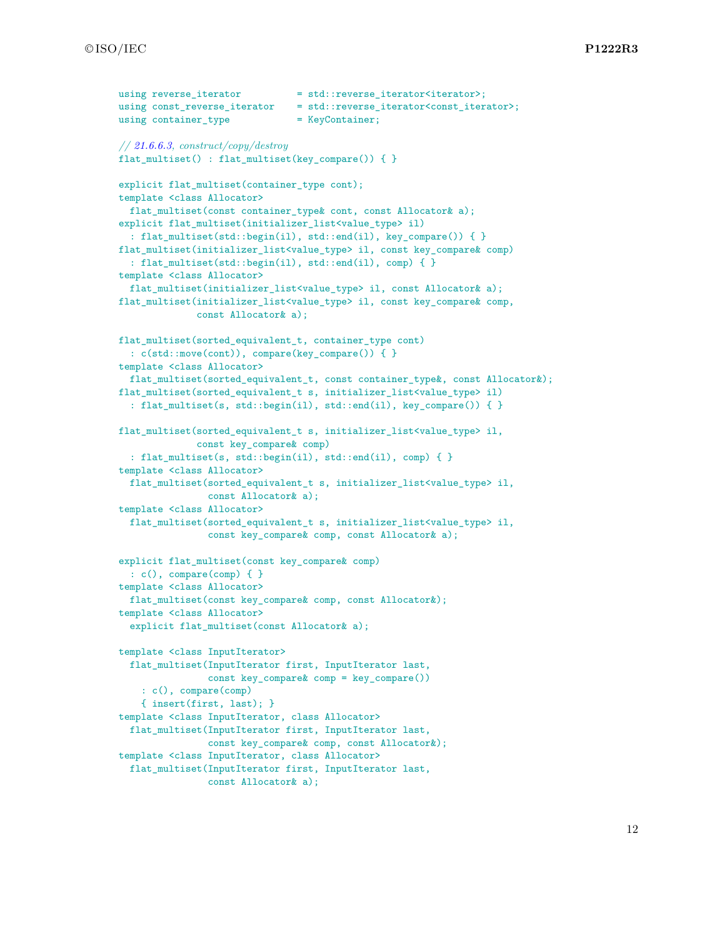```
using reverse iterator = std::reverse iterator<iterator>;
using const_reverse_iterator = std::reverse_iterator<const_iterator>;
using container_type = KeyContainer;
// 21.6.6.3, construct/copy/destroy
flat multiset() : flat multiset(key compare()) { }
explicit flat_multiset(container_type cont);
template <class Allocator>
 flat_multiset(const container_type& cont, const Allocator& a);
explicit flat_multiset(initializer_list<value_type> il)
  : flat_multiset(std::begin(il), std::end(il), key_compare()) { }
flat_multiset(initializer_list<value_type> il, const key_compare& comp)
  : flat_multiset(std::begin(il), std::end(il), comp) { }
template <class Allocator>
 flat_multiset(initializer_list<value_type> il, const Allocator& a);
flat_multiset(initializer_list<value_type> il, const key_compare& comp,
             const Allocator& a);
flat_multiset(sorted_equivalent_t, container_type cont)
 : c(std::move(cont)), compare(key_compare()) { }
template <class Allocator>
 flat_multiset(sorted_equivalent_t, const container_type &, const Allocator &);
flat_multiset(sorted_equivalent_t s, initializer_list<value_type> il)
  : flat_multiset(s, std::begin(il), std::end(il), key_compare()) { }
flat_multiset(sorted_equivalent_t s, initializer_list<value_type> il,
              const key_compare& comp)
  : flat_multiset(s, std::begin(il), std::end(il), comp) { }
template <class Allocator>
  flat_multiset(sorted_equivalent_t s, initializer_list<value_type> il,
                const Allocator& a);
template <class Allocator>
  flat_multiset(sorted_equivalent_t s, initializer_list<value_type> il,
                const key_compare& comp, const Allocator& a);
explicit flat_multiset(const key_compare& comp)
 : c(), compare(comp) { }
template <class Allocator>
 flat_multiset(const key_compare& comp, const Allocator&);
template <class Allocator>
 explicit flat_multiset(const Allocator& a);
template <class InputIterator>
 flat_multiset(InputIterator first, InputIterator last,
                const key_compare& comp = key_compare())
    : c(), compare(comp)
    { insert(first, last); }
template <class InputIterator, class Allocator>
  flat_multiset(InputIterator first, InputIterator last,
                const key_compare& comp, const Allocator&);
template <class InputIterator, class Allocator>
  flat_multiset(InputIterator first, InputIterator last,
                const Allocator& a);
```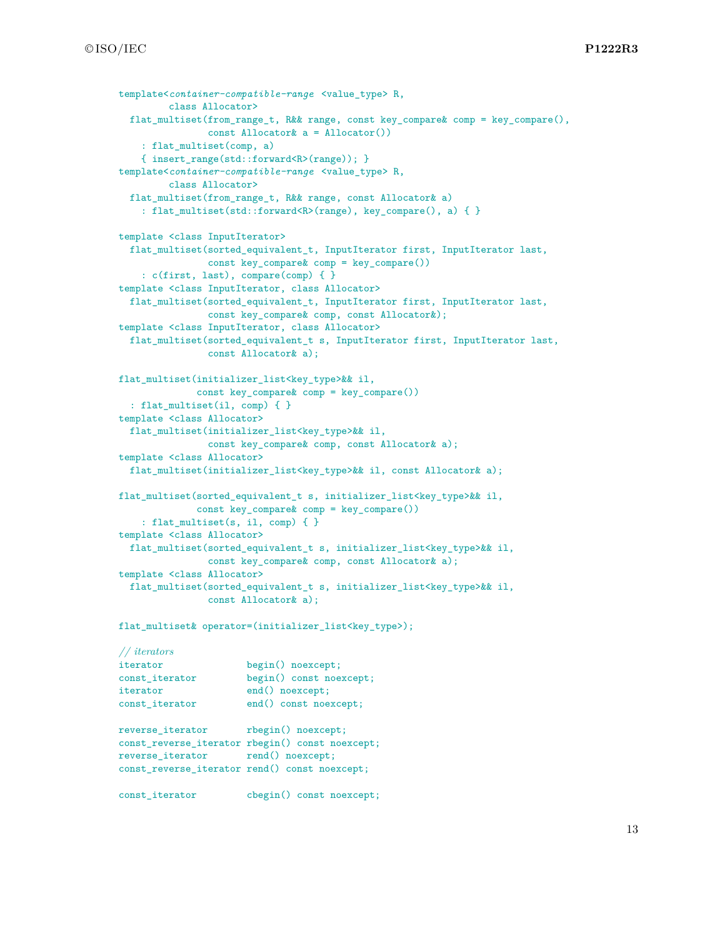```
template<container-compatible-range <value_type> R,
         class Allocator>
 flat_multiset(from_range_t, R&& range, const key_compare& comp = key_compare(),
                const Allocator& a = Allocator())
    : flat_multiset(comp, a)
    { insert_range(std::forward<R>(range)); }
template<container-compatible-range <value_type> R,
        class Allocator>
 flat_multiset(from_range_t, R&& range, const Allocator& a)
    : flat_multiset(std::forward<R>(range), key_compare(), a) { }
template <class InputIterator>
 flat_multiset(sorted_equivalent_t, InputIterator first, InputIterator last,
                const key_compare& comp = key_compare())
   : c(first, last), compare(comp) { }
template <class InputIterator, class Allocator>
 flat_multiset(sorted_equivalent_t, InputIterator first, InputIterator last,
                const key_compare& comp, const Allocator&);
template <class InputIterator, class Allocator>
 flat_multiset(sorted_equivalent_t s, InputIterator first, InputIterator last,
               const Allocator& a);
flat_multiset(initializer_list<key_type>&& il,
              const key_compare& comp = key_compare())
  : flat_multiset(il, comp) { }
template <class Allocator>
 flat_multiset(initializer_list<key_type>&& il,
                const key_compare& comp, const Allocator& a);
template <class Allocator>
 flat_multiset(initializer_list<key_type>&& il, const Allocator& a);
flat_multiset(sorted_equivalent_t s, initializer_list<key_type>&& il,
              const key_compare& comp = key_compare())
    : flat_multiset(s, il, comp) { }
template <class Allocator>
 flat_multiset(sorted_equivalent_t s, initializer_list<key_type>&& il,
                const key_compare& comp, const Allocator& a);
template <class Allocator>
  flat_multiset(sorted_equivalent_t s, initializer_list<key_type>&& il,
                const Allocator& a);
flat multiset& operator=(initializer_list<key_type>);
// iterators
```

| iterator         | $begin)$ noexcept;                              |
|------------------|-------------------------------------------------|
| const_iterator   | begin() const noexcept;                         |
| iterator         | end() noexcept;                                 |
| const_iterator   | end() const noexcept;                           |
| reverse_iterator | $rbegin()$ noexcept;                            |
|                  | const_reverse_iterator rbegin() const noexcept; |

reverse\_iterator rend() noexcept; const\_reverse\_iterator rend() const noexcept;

const\_iterator cbegin() const noexcept;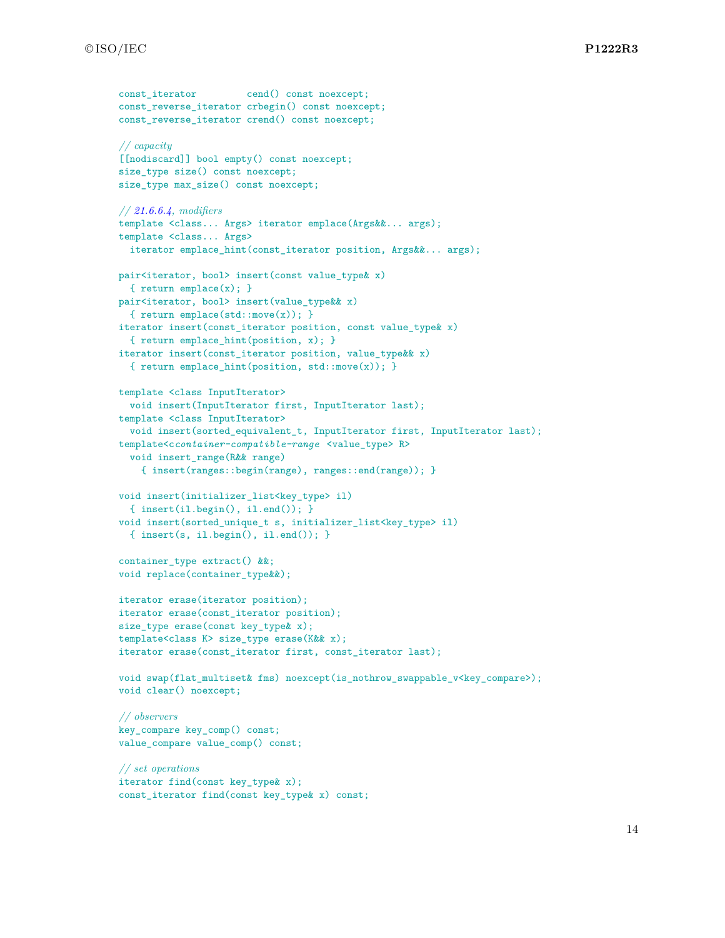```
const_iterator cend() const noexcept;
const_reverse_iterator crbegin() const noexcept;
const_reverse_iterator crend() const noexcept;
// capacity
[[nodiscard]] bool empty() const noexcept;
size_type size() const noexcept;
size_type max_size() const noexcept;
// 21.6.6.4, modifiers
template <class... Args> iterator emplace(Args&&... args);
template <class... Args>
  iterator emplace_hint(const_iterator position, Args&&... args);
pair<iterator, bool> insert(const value_type& x)
  { return emplace(x); }
pair<iterator, bool> insert(value_type&& x)
 { return emplace(std::move(x)); }
iterator insert(const_iterator position, const value_type& x)
  { return emplace_hint(position, x); }
iterator insert(const_iterator position, value_type&& x)
  { return emplace_hint(position, std::move(x)); }
template <class InputIterator>
 void insert(InputIterator first, InputIterator last);
template <class InputIterator>
 void insert(sorted_equivalent_t, InputIterator first, InputIterator last);
template<ccontainer-compatible-range <value_type> R>
 void insert_range(R&& range)
    { insert(ranges::begin(range), ranges::end(range)); }
void insert(initializer_list<key_type> il)
  { insert(il.begin(), il.end()); }
void insert(sorted_unique_t s, initializer_list<key_type> il)
  { insert(s, il.begin(), il.end()); }
container_type extract() &&;
void replace(container_type&&);
iterator erase(iterator position);
iterator erase(const_iterator position);
size_type erase(const key_type& x);
template<class K> size_type erase(K&& x);
iterator erase(const_iterator first, const_iterator last);
void swap(flat_multiset& fms) noexcept(is_nothrow_swappable_v<key_compare>);
void clear() noexcept;
// observers
key_compare key_comp() const;
value_compare value_comp() const;
// set operations
iterator find(const key_type& x);
```
const iterator find(const key type & x) const;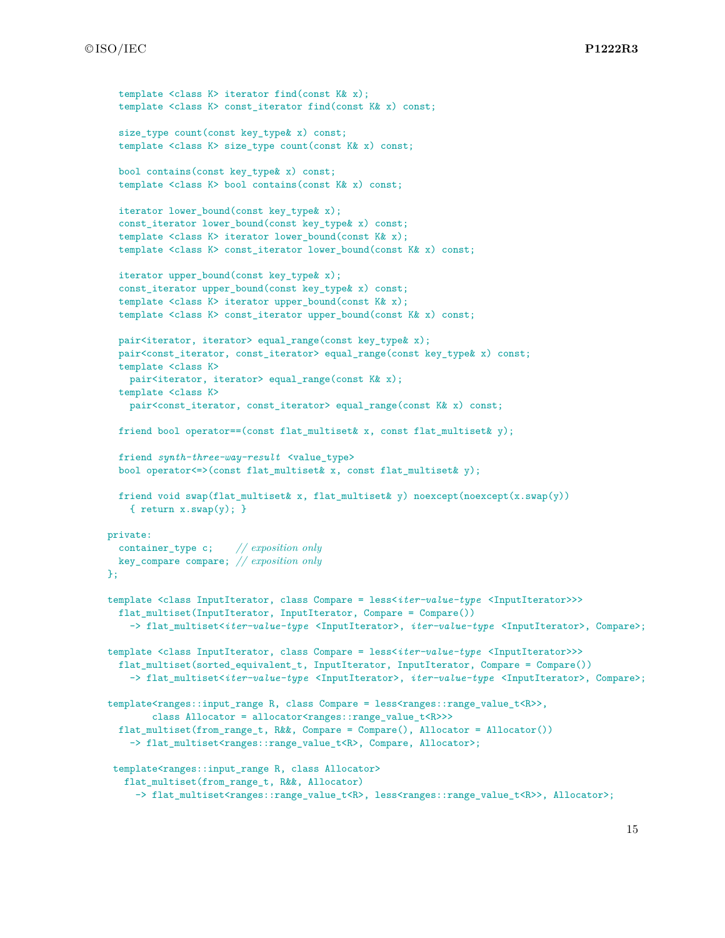```
template <class K> iterator find(const K& x);
  template <class K> const_iterator find(const K& x) const;
  size_type count(const key_type& x) const;
 template <class K> size_type count(const K& x) const;
 bool contains(const key_type& x) const;
 template <class K> bool contains(const K& x) const;
 iterator lower_bound(const key_type& x);
 const_iterator lower_bound(const key_type& x) const;
  template <class K> iterator lower_bound(const K& x);
  template <class K> const_iterator lower_bound(const K& x) const;
 iterator upper_bound(const key_type& x);
 const_iterator upper_bound(const key_type& x) const;
  template <class K> iterator upper_bound(const K& x);
 template <class K> const_iterator upper_bound(const K& x) const;
 pair<iterator, iterator> equal_range(const key_type& x);
 pair<const_iterator, const_iterator> equal_range(const key_type& x) const;
 template <class K>
   pair<iterator, iterator> equal_range(const K& x);
 template <class K>
   pair<const_iterator, const_iterator> equal_range(const K& x) const;
 friend bool operator==(const flat_multiset& x, const flat_multiset& y);
 friend synth-three-way-result <value type>
 bool operator<=>(const flat_multiset& x, const flat_multiset& y);
 friend void swap(flat_multiset& x, flat_multiset& y) noexcept(noexcept(x.swap(y))
    { return x.swap(y); }
private:
 container_type c; // exposition only
 key_compare compare; // exposition only
};
template <class InputIterator, class Compare = less<iter-value-type <InputIterator>>>
 flat_multiset(InputIterator, InputIterator, Compare = Compare())
    -> flat_multiset<iter-value-type <InputIterator>, iter-value-type <InputIterator>, Compare>;
template <class InputIterator, class Compare = less<iter-value-type <InputIterator>>>
 flat_multiset(sorted_equivalent_t, InputIterator, InputIterator, Compare = Compare())
    -> flat_multiset<iter-value-type <InputIterator>, iter-value-type <InputIterator>, Compare>;
template<ranges::input_range R, class Compare = less<ranges::range_value_t<R>>,
        class Allocator = allocator<ranges::range_value_t<R>>>
 flat_multiset(from_range_t, R&&, Compare = Compare(), Allocator = Allocator())
    -> flat_multiset<ranges::range_value_t<R>, Compare, Allocator>;
 template<ranges::input_range R, class Allocator>
   flat_multiset(from_range_t, R&&, Allocator)
     -> flat_multiset<ranges::range_value_t<R>, less<ranges::range_value_t<R>>, Allocator>;
```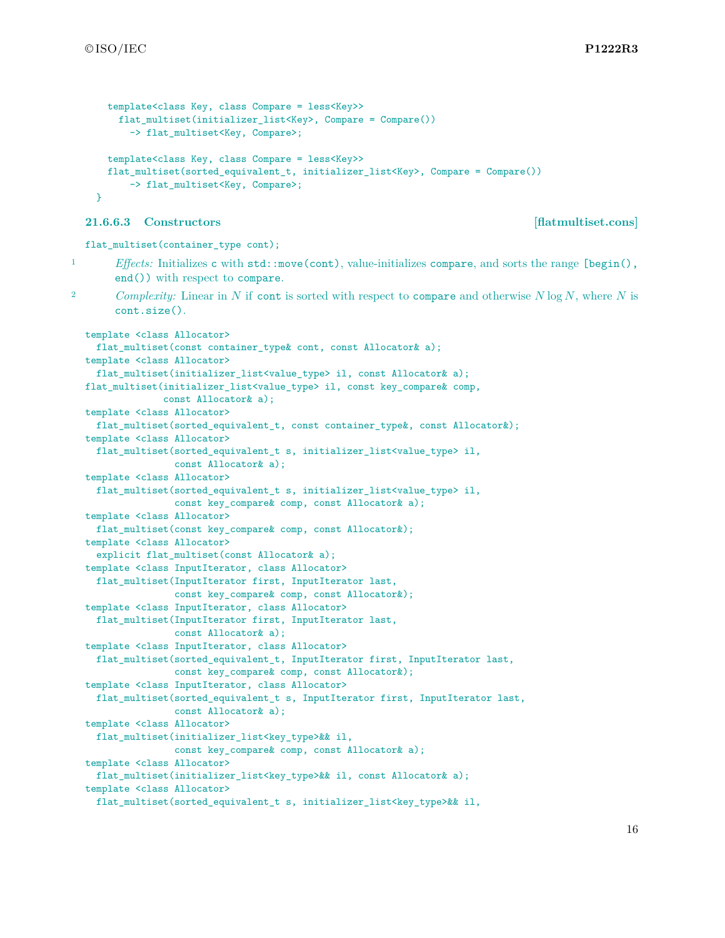```
template<class Key, class Compare = less<Key>>
    flat_multiset(initializer_list<Key>, Compare = Compare())
      -> flat_multiset<Key, Compare>;
  template<class Key, class Compare = less<Key>>
  flat_multiset(sorted_equivalent_t, initializer_list<Key>, Compare = Compare())
      -> flat_multiset<Key, Compare>;
}
```
#### <span id="page-16-0"></span>**21.6.6.3 Constructors [flatmultiset.cons]**

```
flat multiset(container type cont);
```
1 *Effects:* Initializes c with std::move(cont), value-initializes compare, and sorts the range [begin(), end()) with respect to compare.

<sup>2</sup> *Complexity:* Linear in *N* if cont is sorted with respect to compare and otherwise *N* log *N*, where *N* is cont.size().

```
template <class Allocator>
 flat_multiset(const container_type& cont, const Allocator& a);
template <class Allocator>
 flat_multiset(initializer_list<value_type> il, const Allocator& a);
flat_multiset(initializer_list<value_type> il, const key_compare& comp,
             const Allocator& a);
template <class Allocator>
 flat_multiset(sorted_equivalent_t, const container_type&, const Allocator&);
template <class Allocator>
 flat_multiset(sorted_equivalent_t s, initializer_list<value_type> il,
               const Allocator& a);
template <class Allocator>
 flat_multiset(sorted_equivalent_t s, initializer_list<value_type> il,
               const key_compare& comp, const Allocator& a);
template <class Allocator>
 flat_multiset(const key_compare& comp, const Allocator&);
template <class Allocator>
  explicit flat_multiset(const Allocator& a);
template <class InputIterator, class Allocator>
 flat_multiset(InputIterator first, InputIterator last,
                const key_compare& comp, const Allocator&);
template <class InputIterator, class Allocator>
 flat_multiset(InputIterator first, InputIterator last,
                const Allocator& a);
template <class InputIterator, class Allocator>
 flat_multiset(sorted_equivalent_t, InputIterator first, InputIterator last,
               const key_compare& comp, const Allocator&);
template <class InputIterator, class Allocator>
 flat_multiset(sorted_equivalent_t s, InputIterator first, InputIterator last,
                const Allocator& a);
template <class Allocator>
 flat_multiset(initializer_list<key_type>&& il,
               const key_compare& comp, const Allocator& a);
template <class Allocator>
 flat_multiset(initializer_list<key_type>&& il, const Allocator& a);
template <class Allocator>
 flat_multiset(sorted_equivalent_t s, initializer_list<key_type>&& il,
```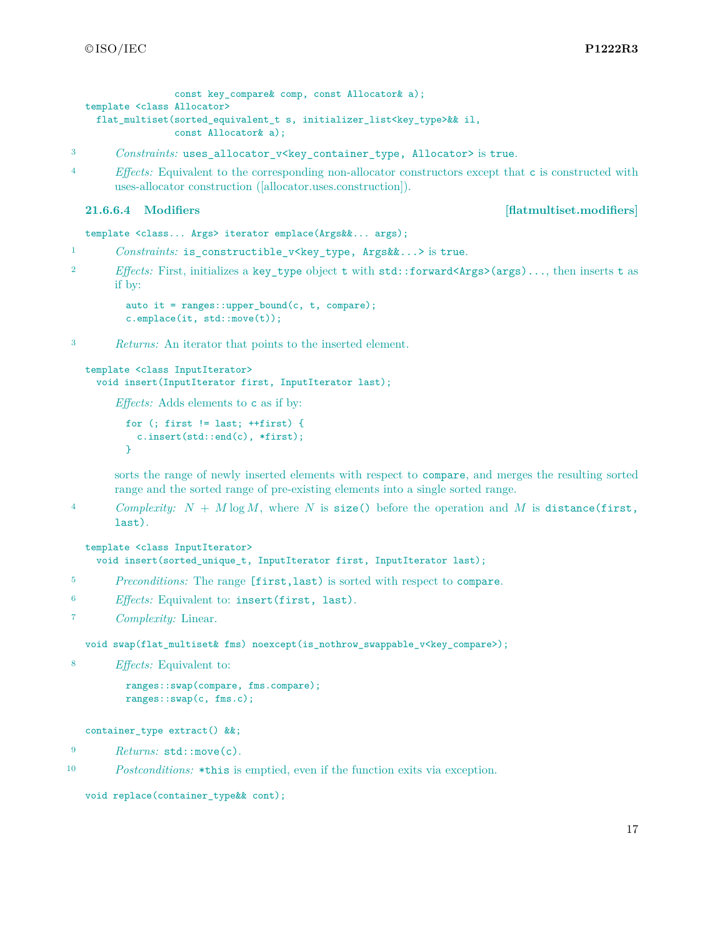```
const key compare& comp, const Allocator& a);
template <class Allocator>
  flat_multiset(sorted_equivalent_t s, initializer_list<key_type>&& il,
                const Allocator& a);
```
3 *Constraints:* uses\_allocator\_v<key\_container\_type, Allocator> is true.

<sup>4</sup> *Effects:* Equivalent to the corresponding non-allocator constructors except that c is constructed with uses-allocator construction ([allocator.uses.construction]).

<span id="page-17-0"></span>**21.6.6.4 Modifiers [flatmultiset.modifiers]**

template <class... Args> iterator emplace(Args&&... args);

- 1 *Constraints:* is\_constructible\_v<key\_type, Args&&...> is true.
- <sup>2</sup> *Effects:* First, initializes a key\_type object t with std::forward<Args>(args)..., then inserts t as if by:

```
auto it = ranges::upper_bound(c, t, compare);
c.emplace(it, std::move(t));
```
<sup>3</sup> *Returns:* An iterator that points to the inserted element.

```
template <class InputIterator>
  void insert(InputIterator first, InputIterator last);
```
*Effects:* Adds elements to c as if by:

```
for (; first != last; ++first) {
 c.insert(std::end(c), *first);
}
```
sorts the range of newly inserted elements with respect to compare, and merges the resulting sorted range and the sorted range of pre-existing elements into a single sorted range.

<sup>4</sup> *Complexity: N* + *M* log *M*, where *N* is size() before the operation and *M* is distance(first, last).

```
template <class InputIterator>
  void insert(sorted_unique_t, InputIterator first, InputIterator last);
```
- <sup>5</sup> *Preconditions:* The range [first,last) is sorted with respect to compare.
- <sup>6</sup> *Effects:* Equivalent to: insert(first, last).

```
7 Complexity: Linear.
```
void swap(flat\_multiset& fms) noexcept(is\_nothrow\_swappable\_v<key\_compare>);

<sup>8</sup> *Effects:* Equivalent to:

```
ranges::swap(compare, fms.compare);
ranges::swap(c, fms.c);
```
container\_type extract() &&;

<sup>9</sup> *Returns:* std::move(c).

<sup>10</sup> *Postconditions:* \*this is emptied, even if the function exits via exception.

```
void replace(container_type&& cont);
```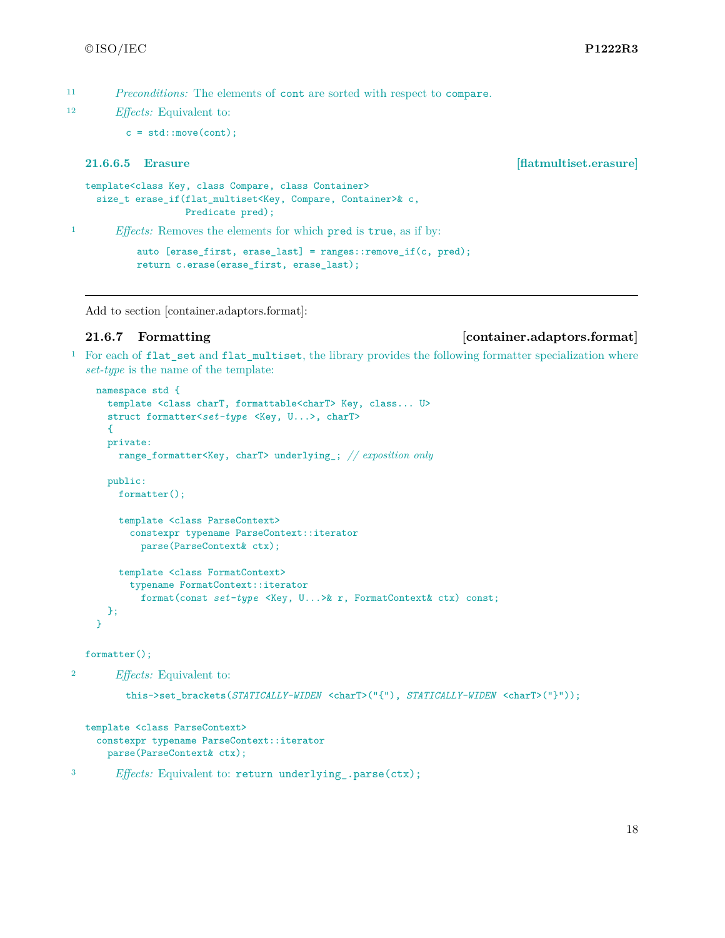<sup>11</sup> *Preconditions:* The elements of cont are sorted with respect to compare.

<sup>12</sup> *Effects:* Equivalent to:

```
c = std::move (cont);
```
### **21.6.6.5 Erasure [flatmultiset.erasure]**

```
template<class Key, class Compare, class Container>
 size_t erase_if(flat_multiset<Key, Compare, Container>& c,
                  Predicate pred);
```
<sup>1</sup> *Effects:* Removes the elements for which pred is true, as if by:

```
auto [erase_first, erase_last] = ranges::remove_if(c, pred);
return c.erase(erase_first, erase_last);
```
Add to section [container.adaptors.format]:

### **21.6.7 Formatting [container.adaptors.format]**

<sup>1</sup> For each of flat\_set and flat\_multiset, the library provides the following formatter specialization where *set-type* is the name of the template:

```
namespace std {
  template <class charT, formattable<charT> Key, class... U>
  struct formatter<set-type <Key, U...>, charT>
  {
  private:
    range_formatter<Key, charT> underlying_; // exposition only
  public:
   formatter();
    template <class ParseContext>
      constexpr typename ParseContext::iterator
        parse(ParseContext& ctx);
    template <class FormatContext>
      typename FormatContext::iterator
        format(const set-type <Key, U...>& r, FormatContext& ctx) const;
 };
}
```
formatter();

```
2 Effects: Equivalent to:
```

```
this->set_brackets(STATICALLY-WIDEN <charT>("{"), STATICALLY-WIDEN <charT>("}"));
```

```
template <class ParseContext>
 constexpr typename ParseContext::iterator
    parse(ParseContext& ctx);
```

```
3 Effects: Equivalent to: return underlying_.parse(ctx);
```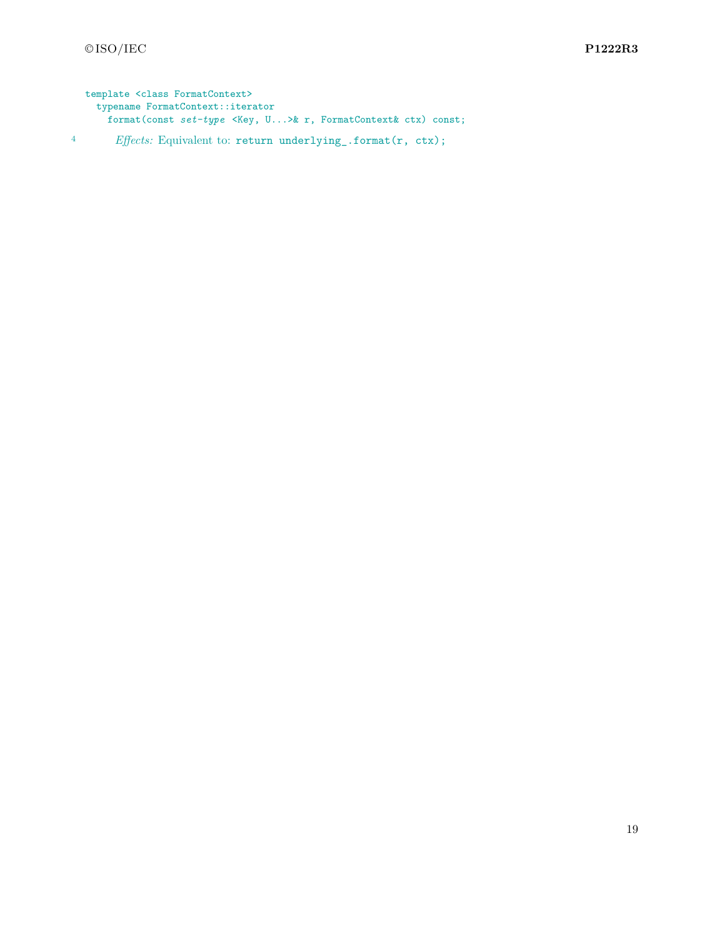template <class FormatContext> typename FormatContext::iterator format(const *set-type* <Key, U...>& r, FormatContext& ctx) const; <sup>4</sup> *Effects:* Equivalent to: return underlying\_.format(r, ctx);